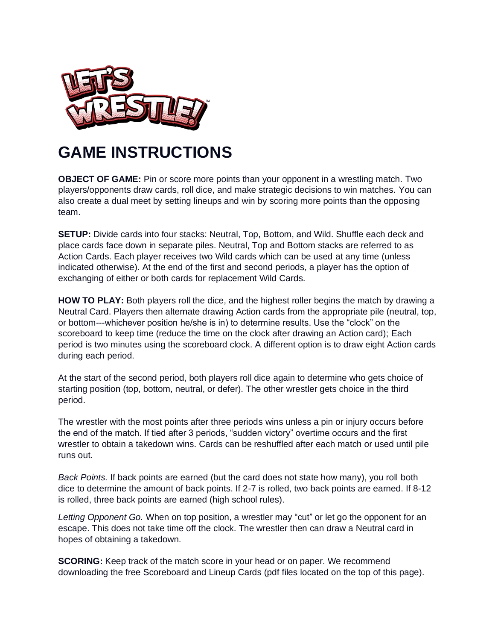

## **GAME INSTRUCTIONS**

**OBJECT OF GAME:** Pin or score more points than your opponent in a wrestling match. Two players/opponents draw cards, roll dice, and make strategic decisions to win matches. You can also create a dual meet by setting lineups and win by scoring more points than the opposing team.

**SETUP:** Divide cards into four stacks: Neutral, Top, Bottom, and Wild. Shuffle each deck and place cards face down in separate piles. Neutral, Top and Bottom stacks are referred to as Action Cards. Each player receives two Wild cards which can be used at any time (unless indicated otherwise). At the end of the first and second periods, a player has the option of exchanging of either or both cards for replacement Wild Cards.

**HOW TO PLAY:** Both players roll the dice, and the highest roller begins the match by drawing a Neutral Card. Players then alternate drawing Action cards from the appropriate pile (neutral, top, or bottom---whichever position he/she is in) to determine results. Use the "clock" on the scoreboard to keep time (reduce the time on the clock after drawing an Action card); Each period is two minutes using the scoreboard clock. A different option is to draw eight Action cards during each period.

At the start of the second period, both players roll dice again to determine who gets choice of starting position (top, bottom, neutral, or defer). The other wrestler gets choice in the third period.

The wrestler with the most points after three periods wins unless a pin or injury occurs before the end of the match. If tied after 3 periods, "sudden victory" overtime occurs and the first wrestler to obtain a takedown wins. Cards can be reshuffled after each match or used until pile runs out.

*Back Points.* If back points are earned (but the card does not state how many), you roll both dice to determine the amount of back points. If 2-7 is rolled, two back points are earned. If 8-12 is rolled, three back points are earned (high school rules).

*Letting Opponent Go.* When on top position, a wrestler may "cut" or let go the opponent for an escape. This does not take time off the clock. The wrestler then can draw a Neutral card in hopes of obtaining a takedown.

**SCORING:** Keep track of the match score in your head or on paper. We recommend downloading the free Scoreboard and Lineup Cards (pdf files located on the top of this page).